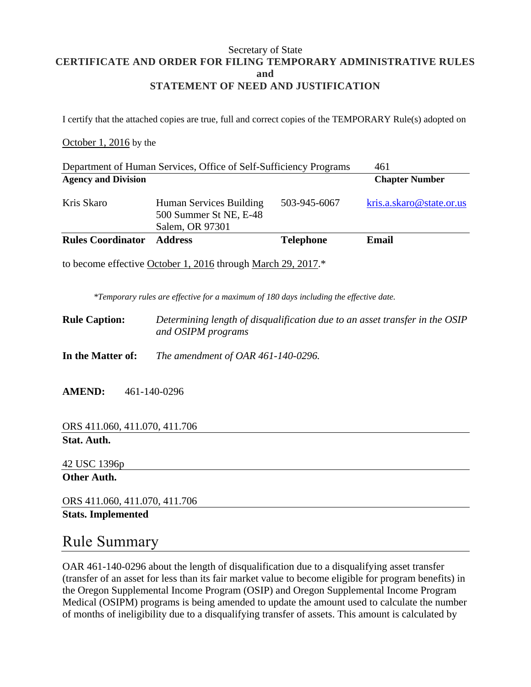#### Secretary of State **CERTIFICATE AND ORDER FOR FILING TEMPORARY ADMINISTRATIVE RULES and STATEMENT OF NEED AND JUSTIFICATION**

I certify that the attached copies are true, full and correct copies of the TEMPORARY Rule(s) adopted on

#### October 1, 2016 by the

| kris.a.skaro@state.or.us |  |  |
|--------------------------|--|--|
| <b>Chapter Number</b>    |  |  |
| 461                      |  |  |
|                          |  |  |

to become effective October 1, 2016 through March 29, 2017.\*

*\*Temporary rules are effective for a maximum of 180 days including the effective date.*

**Rule Caption:** *Determining length of disqualification due to an asset transfer in the OSIP and OSIPM programs*

**In the Matter of:** *The amendment of OAR 461-140-0296.*

**AMEND:** 461-140-0296

ORS 411.060, 411.070, 411.706 **Stat. Auth.**

42 USC 1396p

**Other Auth.**

ORS 411.060, 411.070, 411.706

**Stats. Implemented**

### Rule Summary

OAR 461-140-0296 about the length of disqualification due to a disqualifying asset transfer (transfer of an asset for less than its fair market value to become eligible for program benefits) in the Oregon Supplemental Income Program (OSIP) and Oregon Supplemental Income Program Medical (OSIPM) programs is being amended to update the amount used to calculate the number of months of ineligibility due to a disqualifying transfer of assets. This amount is calculated by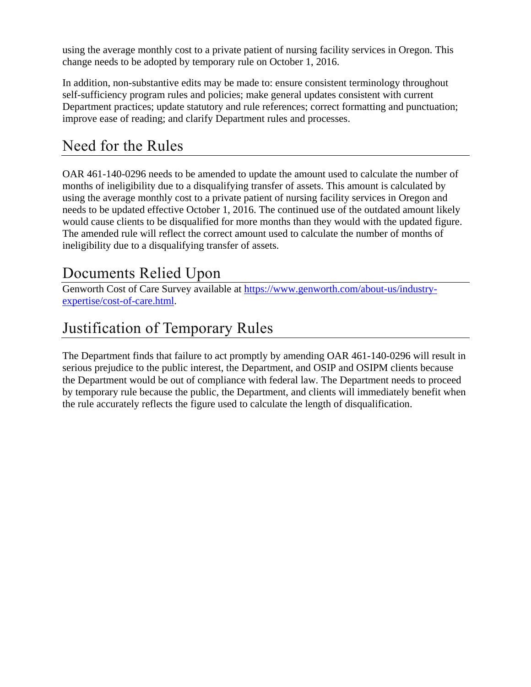using the average monthly cost to a private patient of nursing facility services in Oregon. This change needs to be adopted by temporary rule on October 1, 2016.

In addition, non-substantive edits may be made to: ensure consistent terminology throughout self-sufficiency program rules and policies; make general updates consistent with current Department practices; update statutory and rule references; correct formatting and punctuation; improve ease of reading; and clarify Department rules and processes.

## Need for the Rules

OAR 461-140-0296 needs to be amended to update the amount used to calculate the number of months of ineligibility due to a disqualifying transfer of assets. This amount is calculated by using the average monthly cost to a private patient of nursing facility services in Oregon and needs to be updated effective October 1, 2016. The continued use of the outdated amount likely would cause clients to be disqualified for more months than they would with the updated figure. The amended rule will reflect the correct amount used to calculate the number of months of ineligibility due to a disqualifying transfer of assets.

### Documents Relied Upon

Genworth Cost of Care Survey available at [https://www.genworth.com/about-us/industry](https://www.genworth.com/about-us/industry-expertise/cost-of-care.html)[expertise/cost-of-care.html.](https://www.genworth.com/about-us/industry-expertise/cost-of-care.html)

# Justification of Temporary Rules

The Department finds that failure to act promptly by amending OAR 461-140-0296 will result in serious prejudice to the public interest, the Department, and OSIP and OSIPM clients because the Department would be out of compliance with federal law. The Department needs to proceed by temporary rule because the public, the Department, and clients will immediately benefit when the rule accurately reflects the figure used to calculate the length of disqualification.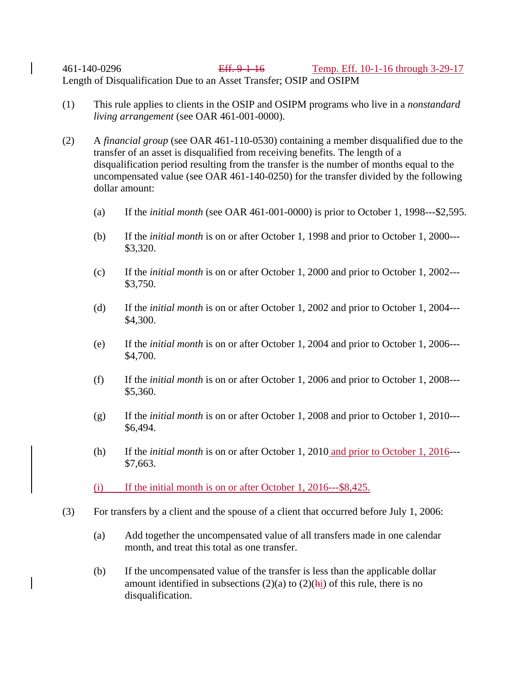461-140-0296 Eff. 9-1-16 Temp. Eff. 10-1-16 through 3-29-17 Length of Disqualification Due to an Asset Transfer; OSIP and OSIPM

- (1) This rule applies to clients in the OSIP and OSIPM programs who live in a *nonstandard living arrangement* (see OAR 461-001-0000).
- (2) A *financial group* (see OAR 461-110-0530) containing a member disqualified due to the transfer of an asset is disqualified from receiving benefits. The length of a disqualification period resulting from the transfer is the number of months equal to the uncompensated value (see OAR 461-140-0250) for the transfer divided by the following dollar amount:
	- (a) If the *initial month* (see OAR 461-001-0000) is prior to October 1, 1998---\$2,595.
	- (b) If the *initial month* is on or after October 1, 1998 and prior to October 1, 2000--- \$3,320.
	- (c) If the *initial month* is on or after October 1, 2000 and prior to October 1, 2002--- \$3,750.
	- (d) If the *initial month* is on or after October 1, 2002 and prior to October 1, 2004--- \$4,300.
	- (e) If the *initial month* is on or after October 1, 2004 and prior to October 1, 2006--- \$4,700.
	- (f) If the *initial month* is on or after October 1, 2006 and prior to October 1, 2008--- \$5,360.
	- (g) If the *initial month* is on or after October 1, 2008 and prior to October 1, 2010--- \$6,494.
	- (h) If the *initial month* is on or after October 1, 2010 and prior to October 1, 2016--- \$7,663.
	- $(i)$  If the initial month is on or after October 1, 2016---\$8,425.
- (3) For transfers by a client and the spouse of a client that occurred before July 1, 2006:
	- (a) Add together the uncompensated value of all transfers made in one calendar month, and treat this total as one transfer.
	- (b) If the uncompensated value of the transfer is less than the applicable dollar amount identified in subsections  $(2)(a)$  to  $(2)(hi)$  of this rule, there is no disqualification.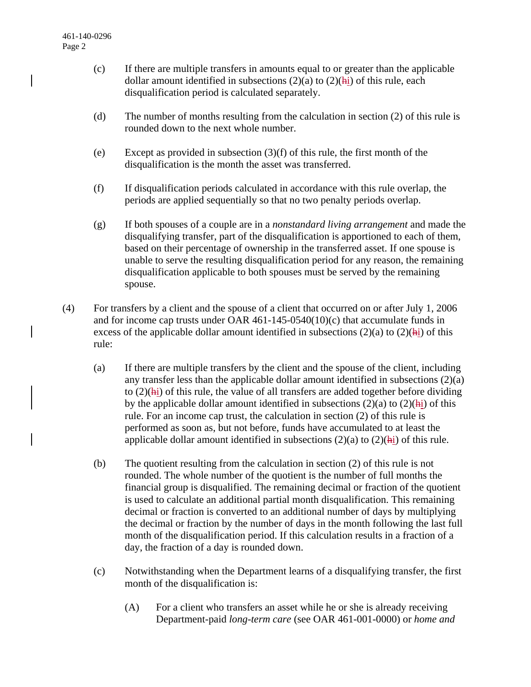- (c) If there are multiple transfers in amounts equal to or greater than the applicable dollar amount identified in subsections  $(2)(a)$  to  $(2)(hi)$  of this rule, each disqualification period is calculated separately.
- (d) The number of months resulting from the calculation in section (2) of this rule is rounded down to the next whole number.
- (e) Except as provided in subsection (3)(f) of this rule, the first month of the disqualification is the month the asset was transferred.
- (f) If disqualification periods calculated in accordance with this rule overlap, the periods are applied sequentially so that no two penalty periods overlap.
- (g) If both spouses of a couple are in a *nonstandard living arrangement* and made the disqualifying transfer, part of the disqualification is apportioned to each of them, based on their percentage of ownership in the transferred asset. If one spouse is unable to serve the resulting disqualification period for any reason, the remaining disqualification applicable to both spouses must be served by the remaining spouse.
- (4) For transfers by a client and the spouse of a client that occurred on or after July 1, 2006 and for income cap trusts under OAR  $461-145-0540(10)(c)$  that accumulate funds in excess of the applicable dollar amount identified in subsections  $(2)(a)$  to  $(2)(hi)$  of this rule:
	- (a) If there are multiple transfers by the client and the spouse of the client, including any transfer less than the applicable dollar amount identified in subsections (2)(a) to  $(2)(\overline{hi})$  of this rule, the value of all transfers are added together before dividing by the applicable dollar amount identified in subsections  $(2)(a)$  to  $(2)(h<sub>i</sub>)$  of this rule. For an income cap trust, the calculation in section (2) of this rule is performed as soon as, but not before, funds have accumulated to at least the applicable dollar amount identified in subsections  $(2)(a)$  to  $(2)(hi)$  of this rule.
	- (b) The quotient resulting from the calculation in section (2) of this rule is not rounded. The whole number of the quotient is the number of full months the financial group is disqualified. The remaining decimal or fraction of the quotient is used to calculate an additional partial month disqualification. This remaining decimal or fraction is converted to an additional number of days by multiplying the decimal or fraction by the number of days in the month following the last full month of the disqualification period. If this calculation results in a fraction of a day, the fraction of a day is rounded down.
	- (c) Notwithstanding when the Department learns of a disqualifying transfer, the first month of the disqualification is:
		- (A) For a client who transfers an asset while he or she is already receiving Department-paid *long-term care* (see OAR 461-001-0000) or *home and*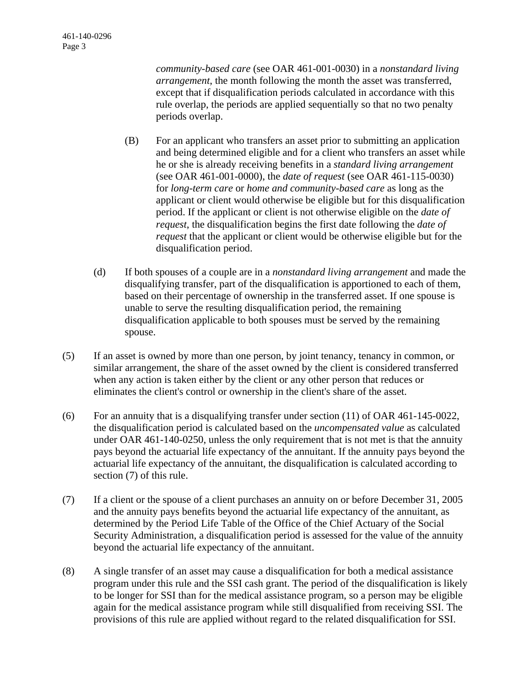*community-based care* (see OAR 461-001-0030) in a *nonstandard living arrangement*, the month following the month the asset was transferred, except that if disqualification periods calculated in accordance with this rule overlap, the periods are applied sequentially so that no two penalty periods overlap.

- (B) For an applicant who transfers an asset prior to submitting an application and being determined eligible and for a client who transfers an asset while he or she is already receiving benefits in a *standard living arrangement* (see OAR 461-001-0000), the *date of request* (see OAR 461-115-0030) for *long-term care* or *home and community-based care* as long as the applicant or client would otherwise be eligible but for this disqualification period. If the applicant or client is not otherwise eligible on the *date of request*, the disqualification begins the first date following the *date of request* that the applicant or client would be otherwise eligible but for the disqualification period.
- (d) If both spouses of a couple are in a *nonstandard living arrangement* and made the disqualifying transfer, part of the disqualification is apportioned to each of them, based on their percentage of ownership in the transferred asset. If one spouse is unable to serve the resulting disqualification period, the remaining disqualification applicable to both spouses must be served by the remaining spouse.
- (5) If an asset is owned by more than one person, by joint tenancy, tenancy in common, or similar arrangement, the share of the asset owned by the client is considered transferred when any action is taken either by the client or any other person that reduces or eliminates the client's control or ownership in the client's share of the asset.
- (6) For an annuity that is a disqualifying transfer under section  $(11)$  of OAR 461-145-0022, the disqualification period is calculated based on the *uncompensated value* as calculated under OAR 461-140-0250, unless the only requirement that is not met is that the annuity pays beyond the actuarial life expectancy of the annuitant. If the annuity pays beyond the actuarial life expectancy of the annuitant, the disqualification is calculated according to section (7) of this rule.
- (7) If a client or the spouse of a client purchases an annuity on or before December 31, 2005 and the annuity pays benefits beyond the actuarial life expectancy of the annuitant, as determined by the Period Life Table of the Office of the Chief Actuary of the Social Security Administration, a disqualification period is assessed for the value of the annuity beyond the actuarial life expectancy of the annuitant.
- (8) A single transfer of an asset may cause a disqualification for both a medical assistance program under this rule and the SSI cash grant. The period of the disqualification is likely to be longer for SSI than for the medical assistance program, so a person may be eligible again for the medical assistance program while still disqualified from receiving SSI. The provisions of this rule are applied without regard to the related disqualification for SSI.